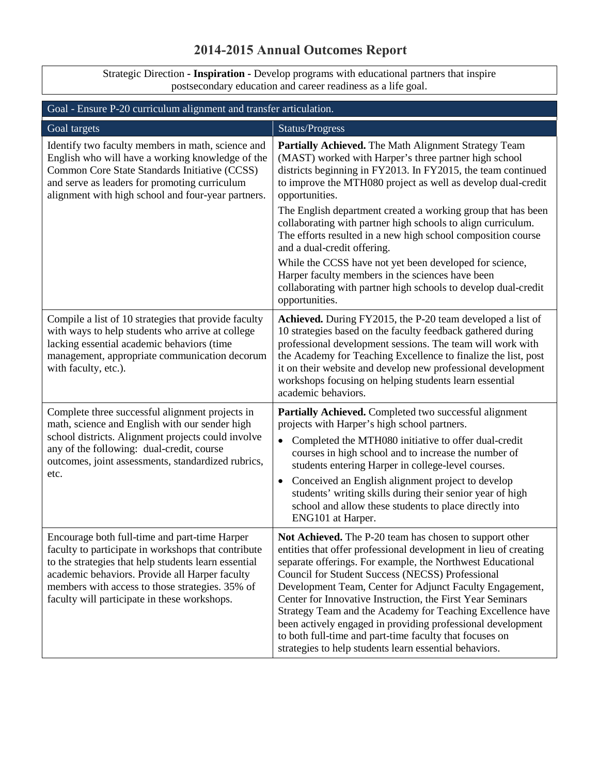## **2014-2015 Annual Outcomes Report**

Strategic Direction **- Inspiration -** Develop programs with educational partners that inspire postsecondary education and career readiness as a life goal.

| Goal - Ensure P-20 curriculum alignment and transfer articulation.                                                                                                                                                                                                                                                |                                                                                                                                                                                                                                                                                                                                                                                                                                                                                                                                                                                                                           |
|-------------------------------------------------------------------------------------------------------------------------------------------------------------------------------------------------------------------------------------------------------------------------------------------------------------------|---------------------------------------------------------------------------------------------------------------------------------------------------------------------------------------------------------------------------------------------------------------------------------------------------------------------------------------------------------------------------------------------------------------------------------------------------------------------------------------------------------------------------------------------------------------------------------------------------------------------------|
| Goal targets                                                                                                                                                                                                                                                                                                      | Status/Progress                                                                                                                                                                                                                                                                                                                                                                                                                                                                                                                                                                                                           |
| Identify two faculty members in math, science and<br>English who will have a working knowledge of the<br>Common Core State Standards Initiative (CCSS)<br>and serve as leaders for promoting curriculum<br>alignment with high school and four-year partners.                                                     | Partially Achieved. The Math Alignment Strategy Team<br>(MAST) worked with Harper's three partner high school<br>districts beginning in FY2013. In FY2015, the team continued<br>to improve the MTH080 project as well as develop dual-credit<br>opportunities.<br>The English department created a working group that has been<br>collaborating with partner high schools to align curriculum.<br>The efforts resulted in a new high school composition course<br>and a dual-credit offering.                                                                                                                            |
|                                                                                                                                                                                                                                                                                                                   | While the CCSS have not yet been developed for science,<br>Harper faculty members in the sciences have been<br>collaborating with partner high schools to develop dual-credit<br>opportunities.                                                                                                                                                                                                                                                                                                                                                                                                                           |
| Compile a list of 10 strategies that provide faculty<br>with ways to help students who arrive at college<br>lacking essential academic behaviors (time<br>management, appropriate communication decorum<br>with faculty, etc.).                                                                                   | Achieved. During FY2015, the P-20 team developed a list of<br>10 strategies based on the faculty feedback gathered during<br>professional development sessions. The team will work with<br>the Academy for Teaching Excellence to finalize the list, post<br>it on their website and develop new professional development<br>workshops focusing on helping students learn essential<br>academic behaviors.                                                                                                                                                                                                                |
| Complete three successful alignment projects in<br>math, science and English with our sender high<br>school districts. Alignment projects could involve<br>any of the following: dual-credit, course<br>outcomes, joint assessments, standardized rubrics,<br>etc.                                                | Partially Achieved. Completed two successful alignment<br>projects with Harper's high school partners.<br>Completed the MTH080 initiative to offer dual-credit<br>$\bullet$<br>courses in high school and to increase the number of<br>students entering Harper in college-level courses.<br>Conceived an English alignment project to develop<br>$\bullet$<br>students' writing skills during their senior year of high<br>school and allow these students to place directly into<br>ENG101 at Harper.                                                                                                                   |
| Encourage both full-time and part-time Harper<br>faculty to participate in workshops that contribute<br>to the strategies that help students learn essential<br>academic behaviors. Provide all Harper faculty<br>members with access to those strategies. 35% of<br>faculty will participate in these workshops. | Not Achieved. The P-20 team has chosen to support other<br>entities that offer professional development in lieu of creating<br>separate offerings. For example, the Northwest Educational<br>Council for Student Success (NECSS) Professional<br>Development Team, Center for Adjunct Faculty Engagement,<br>Center for Innovative Instruction, the First Year Seminars<br>Strategy Team and the Academy for Teaching Excellence have<br>been actively engaged in providing professional development<br>to both full-time and part-time faculty that focuses on<br>strategies to help students learn essential behaviors. |